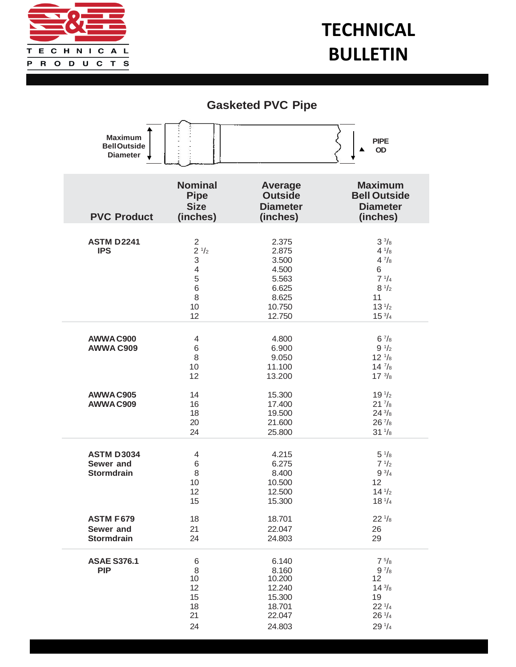

## **TECHNICAL BULLETIN**

## **Gasketed PVC Pipe**

| <b>Maximum</b><br><b>BellOutside</b><br><b>Diameter</b>                 | <b>PIPE</b><br>OD                                                                       |                                                                                 |                                                                                                                                      |
|-------------------------------------------------------------------------|-----------------------------------------------------------------------------------------|---------------------------------------------------------------------------------|--------------------------------------------------------------------------------------------------------------------------------------|
| <b>PVC Product</b>                                                      | <b>Nominal</b><br><b>Pipe</b><br><b>Size</b><br>(inches)                                | <b>Average</b><br><b>Outside</b><br><b>Diameter</b><br>(inches)                 | <b>Maximum</b><br><b>Bell Outside</b><br><b>Diameter</b><br>(inches)                                                                 |
| <b>ASTM D2241</b><br><b>IPS</b>                                         | $\overline{2}$<br>$2^{1/2}$<br>$\mathsf 3$<br>$\overline{4}$<br>5<br>6<br>8<br>10<br>12 | 2.375<br>2.875<br>3.500<br>4.500<br>5.563<br>6.625<br>8.625<br>10.750<br>12.750 | $3^{3}/8$<br>$4 \frac{1}{8}$<br>$4^{7}/_8$<br>6<br>$7 \frac{1}{4}$<br>$8 \frac{1}{2}$<br>11<br>13 <sup>1</sup> /2<br>$15\frac{3}{4}$ |
| AWWA C900<br><b>AWWA C909</b>                                           | 4<br>6<br>8<br>10<br>12                                                                 | 4.800<br>6.900<br>9.050<br>11.100<br>13.200                                     | $6\frac{7}{8}$<br>$9 \frac{1}{2}$<br>$12 \frac{1}{8}$<br>$14 \frac{7}{8}$<br>$17^{3}/8$                                              |
| AWWA C905<br>AWWA C909                                                  | 14<br>16<br>18<br>20<br>24                                                              | 15.300<br>17.400<br>19.500<br>21.600<br>25.800                                  | 19 <sup>1</sup> /2<br>$21\frac{7}{8}$<br>$24\frac{3}{8}$<br>$26\frac{7}{8}$<br>$31\frac{1}{8}$                                       |
| <b>ASTM D3034</b><br>Sewer and<br><b>Stormdrain</b><br><b>ASTM F679</b> | 4<br>6<br>8<br>10<br>12<br>15<br>18                                                     | 4.215<br>6.275<br>8.400<br>10.500<br>12.500<br>15.300<br>18.701                 | $5 \frac{1}{8}$<br>$7 \frac{1}{2}$<br>$9^{3}/4$<br>12<br>$14^{1/2}$<br>18 <sup>1</sup> / <sub>4</sub><br>$22^{\frac{1}{8}}$          |
| Sewer and<br><b>Stormdrain</b>                                          | 21<br>24                                                                                | 22.047<br>24.803                                                                | 26<br>29                                                                                                                             |
| <b>ASAE S376.1</b><br><b>PIP</b>                                        | 6<br>$\,8\,$<br>10 <sup>°</sup><br>12<br>15<br>18<br>21<br>24                           | 6.140<br>8.160<br>10.200<br>12.240<br>15.300<br>18.701<br>22.047<br>24.803      | $7\frac{5}{8}$<br>$9^{7}/_8$<br>12<br>$14\frac{3}{8}$<br>19<br>$22\frac{1}{4}$<br>$26\frac{1}{4}$<br>$29\frac{1}{4}$                 |